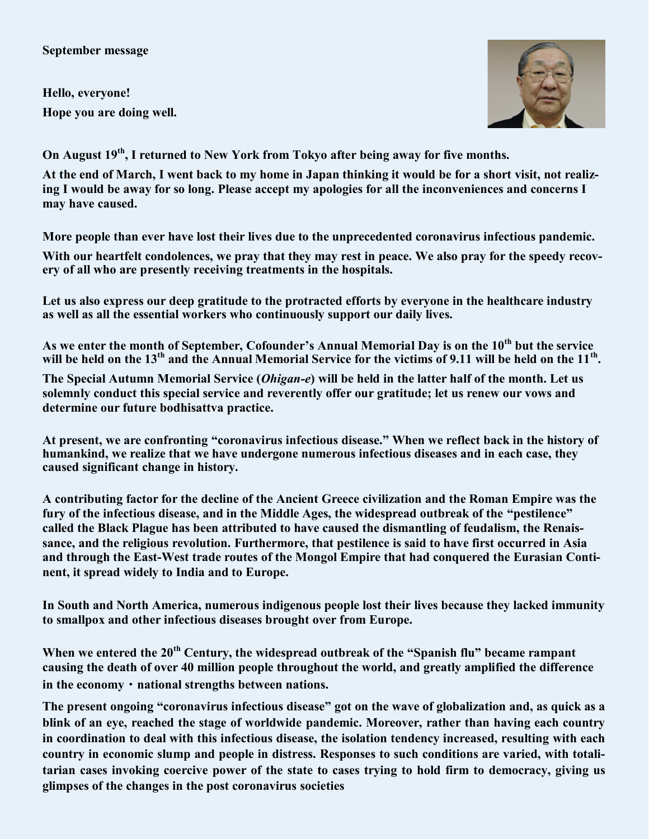## **September message**

**Hello, everyone! Hope you are doing well.**



**On August 19th, I returned to New York from Tokyo after being away for five months.**

**At the end of March, I went back to my home in Japan thinking it would be for a short visit, not realizing I would be away for so long. Please accept my apologies for all the inconveniences and concerns I may have caused.** 

**More people than ever have lost their lives due to the unprecedented coronavirus infectious pandemic.**

**With our heartfelt condolences, we pray that they may rest in peace. We also pray for the speedy recovery of all who are presently receiving treatments in the hospitals.** 

**Let us also express our deep gratitude to the protracted efforts by everyone in the healthcare industry as well as all the essential workers who continuously support our daily lives.** 

**As we enter the month of September, Cofounder's Annual Memorial Day is on the 10th but the service will be held on the 13th and the Annual Memorial Service for the victims of 9.11 will be held on the 11th .** 

**The Special Autumn Memorial Service (***Ohigan-e***) will be held in the latter half of the month. Let us solemnly conduct this special service and reverently offer our gratitude; let us renew our vows and determine our future bodhisattva practice.** 

**At present, we are confronting "coronavirus infectious disease." When we reflect back in the history of humankind, we realize that we have undergone numerous infectious diseases and in each case, they caused significant change in history.** 

**A contributing factor for the decline of the Ancient Greece civilization and the Roman Empire was the fury of the infectious disease, and in the Middle Ages, the widespread outbreak of the "pestilence" called the Black Plague has been attributed to have caused the dismantling of feudalism, the Renaissance, and the religious revolution. Furthermore, that pestilence is said to have first occurred in Asia and through the East-West trade routes of the Mongol Empire that had conquered the Eurasian Continent, it spread widely to India and to Europe.** 

**In South and North America, numerous indigenous people lost their lives because they lacked immunity to smallpox and other infectious diseases brought over from Europe.** 

**When we entered the 20th Century, the widespread outbreak of the "Spanish flu" became rampant causing the death of over 40 million people throughout the world, and greatly amplified the difference in the economy**・**national strengths between nations.**

**The present ongoing "coronavirus infectious disease" got on the wave of globalization and, as quick as a blink of an eye, reached the stage of worldwide pandemic. Moreover, rather than having each country in coordination to deal with this infectious disease, the isolation tendency increased, resulting with each country in economic slump and people in distress. Responses to such conditions are varied, with totalitarian cases invoking coercive power of the state to cases trying to hold firm to democracy, giving us glimpses of the changes in the post coronavirus societies**